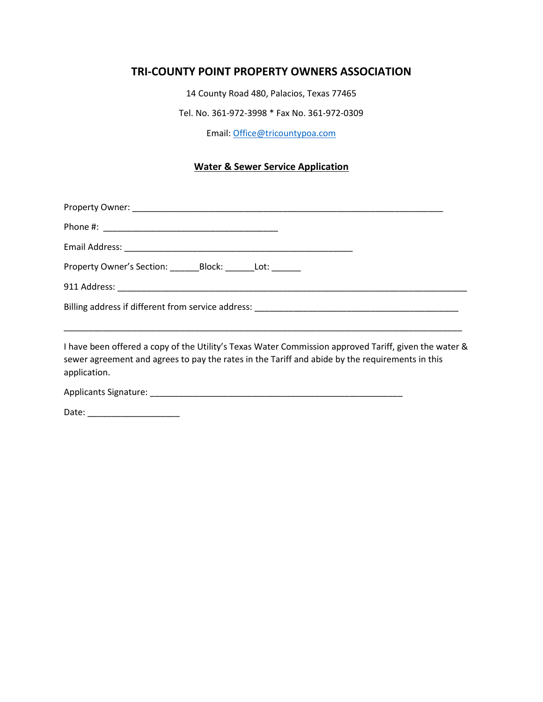## **TRI-COUNTY POINT PROPERTY OWNERS ASSOCIATION**

14 County Road 480, Palacios, Texas 77465

Tel. No. 361-972-3998 \* Fax No. 361-972-0309

Email: [Office@tricountypoa.com](mailto:Office@tricountypoa.com)

## **Water & Sewer Service Application**

| I have been offered a conv of the Utility's Texas Water Commission annroved Tariff given the water & |
|------------------------------------------------------------------------------------------------------|

I have been offered a copy of the Utility's Texas Water Commission approved Tariff, given the water & sewer agreement and agrees to pay the rates in the Tariff and abide by the requirements in this application.

Applicants Signature: \_\_\_\_\_\_\_\_\_\_\_\_\_\_\_\_\_\_\_\_\_\_\_\_\_\_\_\_\_\_\_\_\_\_\_\_\_\_\_\_\_\_\_\_\_\_\_\_\_\_\_\_

Date: \_\_\_\_\_\_\_\_\_\_\_\_\_\_\_\_\_\_\_